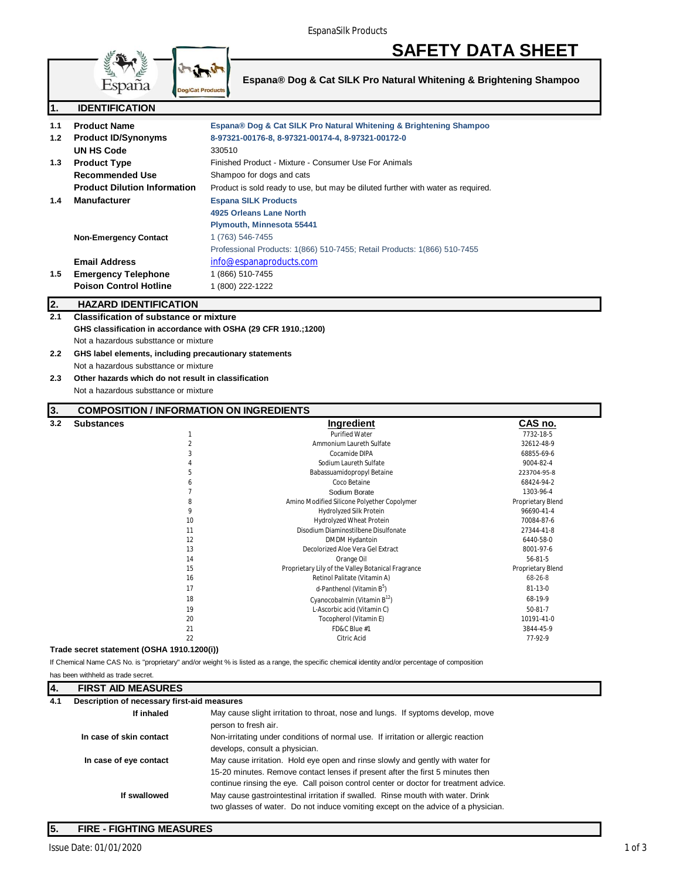# **SAFETY DATA SHEET**



**Espana® Dog & Cat SILK Pro Natural Whitening & Brightening Shampoo**

| 1.  | <b>IDENTIFICATION</b>                                          |                                                                                    |                                    |
|-----|----------------------------------------------------------------|------------------------------------------------------------------------------------|------------------------------------|
| 1.1 | <b>Product Name</b>                                            | Espana® Dog & Cat SILK Pro Natural Whitening & Brightening Shampoo                 |                                    |
| 1.2 | <b>Product ID/Synonyms</b>                                     | 8-97321-00176-8, 8-97321-00174-4, 8-97321-00172-0                                  |                                    |
|     | UN HS Code                                                     | 330510                                                                             |                                    |
| 1.3 | <b>Product Type</b>                                            | Finished Product - Mixture - Consumer Use For Animals                              |                                    |
|     | <b>Recommended Use</b>                                         | Shampoo for dogs and cats                                                          |                                    |
|     | <b>Product Dilution Information</b>                            |                                                                                    |                                    |
|     |                                                                | Product is sold ready to use, but may be diluted further with water as required.   |                                    |
| 1.4 | <b>Manufacturer</b>                                            | <b>Espana SILK Products</b>                                                        |                                    |
|     |                                                                | 4925 Orleans Lane North                                                            |                                    |
|     |                                                                | Plymouth, Minnesota 55441                                                          |                                    |
|     | <b>Non-Emergency Contact</b>                                   | 1 (763) 546-7455                                                                   |                                    |
|     |                                                                | Professional Products: 1(866) 510-7455; Retail Products: 1(866) 510-7455           |                                    |
|     | <b>Email Address</b>                                           | info@espanaproducts.com                                                            |                                    |
| 1.5 | <b>Emergency Telephone</b>                                     | 1 (866) 510-7455                                                                   |                                    |
|     | <b>Poison Control Hotline</b>                                  | 1 (800) 222-1222                                                                   |                                    |
| 2.  | <b>HAZARD IDENTIFICATION</b>                                   |                                                                                    |                                    |
| 2.1 | <b>Classification of substance or mixture</b>                  |                                                                                    |                                    |
|     | GHS classification in accordance with OSHA (29 CFR 1910.;1200) |                                                                                    |                                    |
|     | Not a hazardous substtance or mixture                          |                                                                                    |                                    |
| 2.2 | GHS label elements, including precautionary statements         |                                                                                    |                                    |
|     | Not a hazardous substtance or mixture                          |                                                                                    |                                    |
|     | Other hazards which do not result in classification            |                                                                                    |                                    |
| 2.3 |                                                                |                                                                                    |                                    |
|     | Not a hazardous substtance or mixture                          |                                                                                    |                                    |
| 3.  | <b>COMPOSITION / INFORMATION ON INGREDIENTS</b>                |                                                                                    |                                    |
| 3.2 | <b>Substances</b>                                              | <b>Ingredient</b>                                                                  | CAS no.                            |
|     | $\mathbf{1}$                                                   | <b>Purified Water</b>                                                              | 7732-18-5                          |
|     | $\overline{2}$                                                 | Ammonium Laureth Sulfate                                                           | 32612-48-9                         |
|     | 3                                                              | Cocamide DIPA                                                                      | 68855-69-6                         |
|     | $\overline{A}$<br>5                                            | Sodium Laureth Sulfate                                                             | 9004-82-4                          |
|     | 6                                                              | Babassuamidopropyl Betaine<br>Coco Betaine                                         | 223704-95-8<br>68424-94-2          |
|     | $\overline{7}$                                                 | Sodium Borate                                                                      | 1303-96-4                          |
|     | 8                                                              | Amino Modified Silicone Polyether Copolymer                                        | Proprietary Blend                  |
|     | 9                                                              | Hydrolyzed Silk Protein                                                            | 96690-41-4                         |
|     | 10                                                             | Hydrolyzed Wheat Protein                                                           | 70084-87-6                         |
|     | 11                                                             | Disodium Diaminostilbene Disulfonate                                               | 27344-41-8                         |
|     | 12                                                             | DMDM Hydantoin                                                                     | 6440-58-0                          |
|     | 13                                                             | Decolorized Aloe Vera Gel Extract                                                  | 8001-97-6                          |
|     | 14                                                             | Orange Oil                                                                         | $56 - 81 - 5$                      |
|     | 15<br>16                                                       | Proprietary Lily of the Valley Botanical Fragrance<br>Retinol Palitate (Vitamin A) | Proprietary Blend<br>$68 - 26 - 8$ |
|     | 17                                                             | d-Panthenol (Vitamin B <sup>5</sup> )                                              | 81-13-0                            |
|     | 18                                                             | Cyanocobalmin (Vitamin B <sup>12</sup> )                                           | 68-19-9                            |
|     | 19                                                             | L-Ascorbic acid (Vitamin C)                                                        | $50 - 81 - 7$                      |
|     | 20                                                             | Tocopherol (Vitamin E)                                                             | 10191-41-0                         |
|     | 21                                                             | FD&C Blue #1                                                                       | 3844-45-9                          |

#### **Trade secret statement (OSHA 1910.1200(i))**

If Chemical Name CAS No. is "proprietary" and/or weight % is listed as a range, the specific chemical identity and/or percentage of composition

| has been withheld as trade secret. |                                             |                                                                                                                                                                                                                                                          |
|------------------------------------|---------------------------------------------|----------------------------------------------------------------------------------------------------------------------------------------------------------------------------------------------------------------------------------------------------------|
| Ι4.                                | <b>FIRST AID MEASURES</b>                   |                                                                                                                                                                                                                                                          |
| 4.1                                | Description of necessary first-aid measures |                                                                                                                                                                                                                                                          |
|                                    | If inhaled                                  | May cause slight irritation to throat, nose and lungs. If syptoms develop, move<br>person to fresh air.                                                                                                                                                  |
|                                    | In case of skin contact                     | Non-irritating under conditions of normal use. If irritation or allergic reaction<br>develops, consult a physician.                                                                                                                                      |
|                                    | In case of eye contact                      | May cause irritation. Hold eye open and rinse slowly and gently with water for<br>15-20 minutes. Remove contact lenses if present after the first 5 minutes then<br>continue rinsing the eye. Call poison control center or doctor for treatment advice. |
|                                    | If swallowed                                | May cause gastrointestinal irritation if swalled. Rinse mouth with water. Drink<br>two glasses of water. Do not induce vomiting except on the advice of a physician.                                                                                     |

22 Citric Acid 77-92-9

**5. FIRE - FIGHTING MEASURES**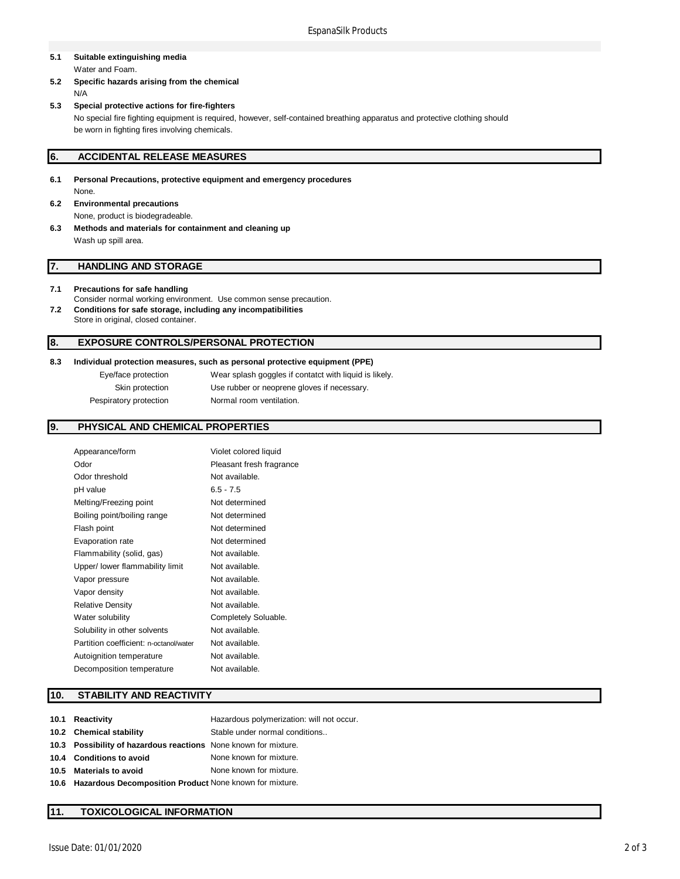#### **5.1 Suitable extinguishing media** Water and Foam.

- **5.2 Specific hazards arising from the chemical** N/A
- **5.3 Special protective actions for fire-fighters** No special fire fighting equipment is required, however, self-contained breathing apparatus and protective clothing should be worn in fighting fires involving chemicals.

## **6. ACCIDENTAL RELEASE MEASURES**

- **6.1 Personal Precautions, protective equipment and emergency procedures** None.
- **6.2 Environmental precautions** None, product is biodegradeable.
- **6.3 Methods and materials for containment and cleaning up** Wash up spill area.

## **7. HANDLING AND STORAGE**

### **7.1 Precautions for safe handling**

- Consider normal working environment. Use common sense precaution. **7.2 Conditions for safe storage, including any incompatibilities**
- Store in original, closed container.

## **8. EXPOSURE CONTROLS/PERSONAL PROTECTION**

#### **8.3 Individual protection measures, such as personal protective equipment (PPE)**

Eye/face protection Wear splash goggles if contatct with liquid is likely. Skin protection Use rubber or neoprene gloves if necessary. Pespiratory protection Normal room ventilation.

# **9. PHYSICAL AND CHEMICAL PROPERTIES**

| Appearance/form                        | Violet colored liquid    |
|----------------------------------------|--------------------------|
| Odor                                   | Pleasant fresh fragrance |
| Odor threshold                         | Not available.           |
| pH value                               | $6.5 - 7.5$              |
| Melting/Freezing point                 | Not determined           |
| Boiling point/boiling range            | Not determined           |
| Flash point                            | Not determined           |
| Evaporation rate                       | Not determined           |
| Flammability (solid, gas)              | Not available.           |
| Upper/ lower flammability limit        | Not available.           |
| Vapor pressure                         | Not available.           |
| Vapor density                          | Not available.           |
| <b>Relative Density</b>                | Not available.           |
| Water solubility                       | Completely Soluable.     |
| Solubility in other solvents           | Not available.           |
| Partition coefficient: n-octanol/water | Not available.           |
| Autoignition temperature               | Not available.           |
| Decomposition temperature              | Not available.           |
|                                        |                          |

# **10. STABILITY AND REACTIVITY**

| 10.1 Reactivity                                                 | Hazardous polymerization: will not occur. |
|-----------------------------------------------------------------|-------------------------------------------|
| 10.2 Chemical stability                                         | Stable under normal conditions            |
| 10.3 Possibility of hazardous reactions None known for mixture. |                                           |
| 10.4 Conditions to avoid                                        | None known for mixture.                   |
| 10.5 Materials to avoid                                         | None known for mixture.                   |
| 10.6 Hazardous Decomposition Product None known for mixture.    |                                           |
|                                                                 |                                           |

### **11. TOXICOLOGICAL INFORMATION**